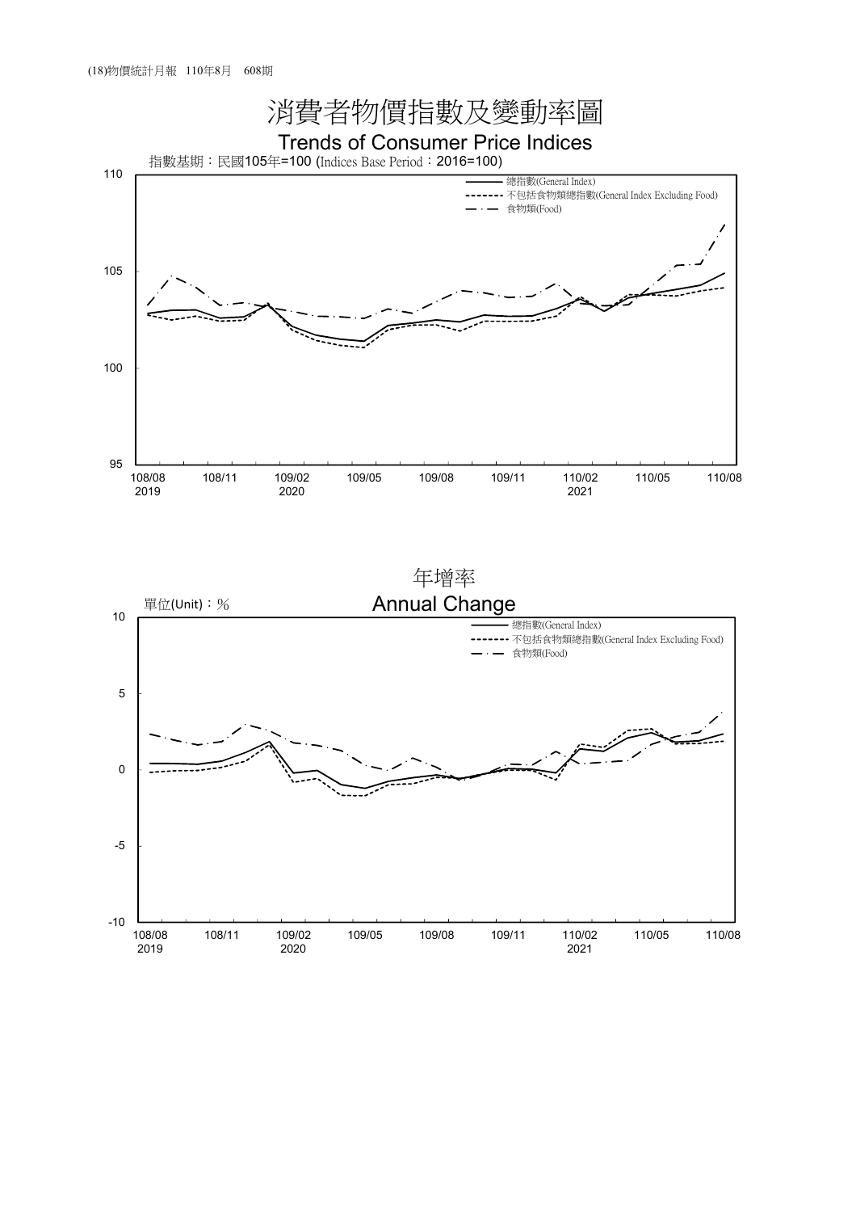

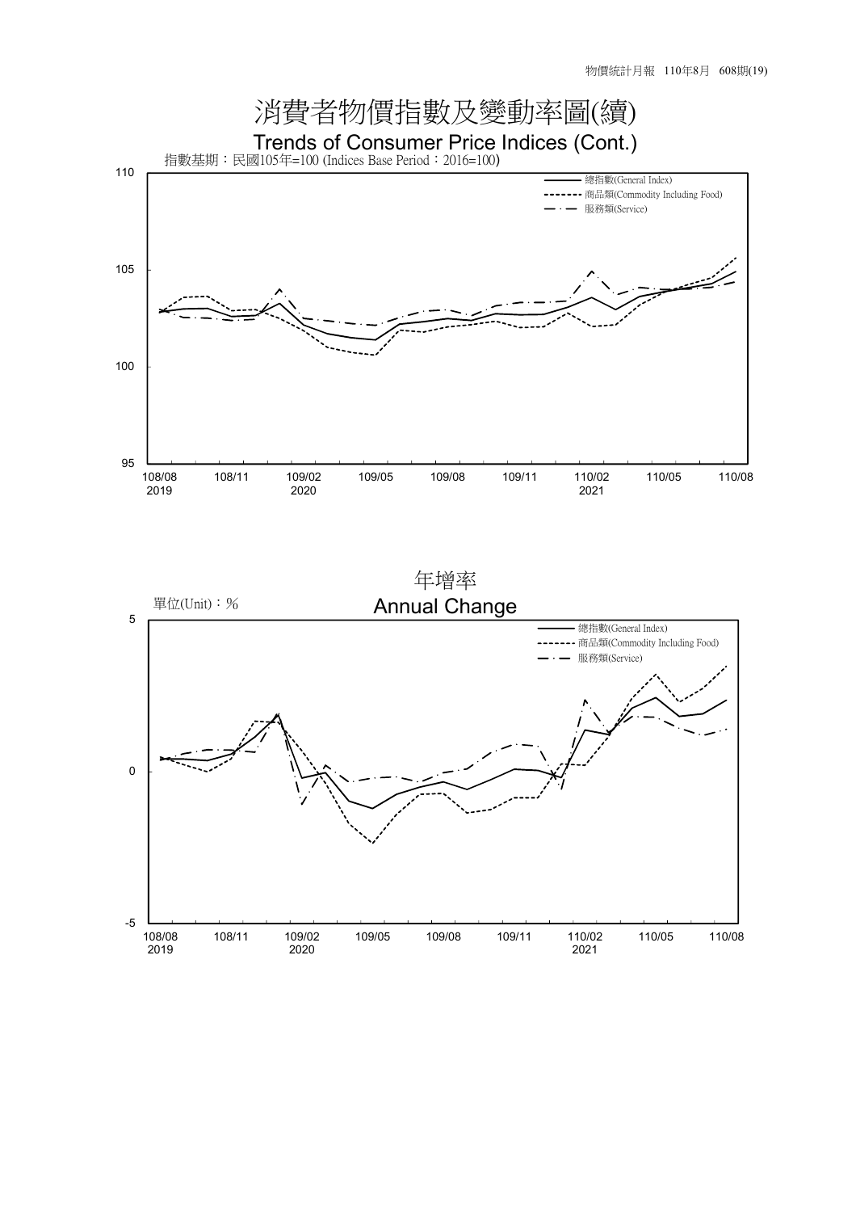